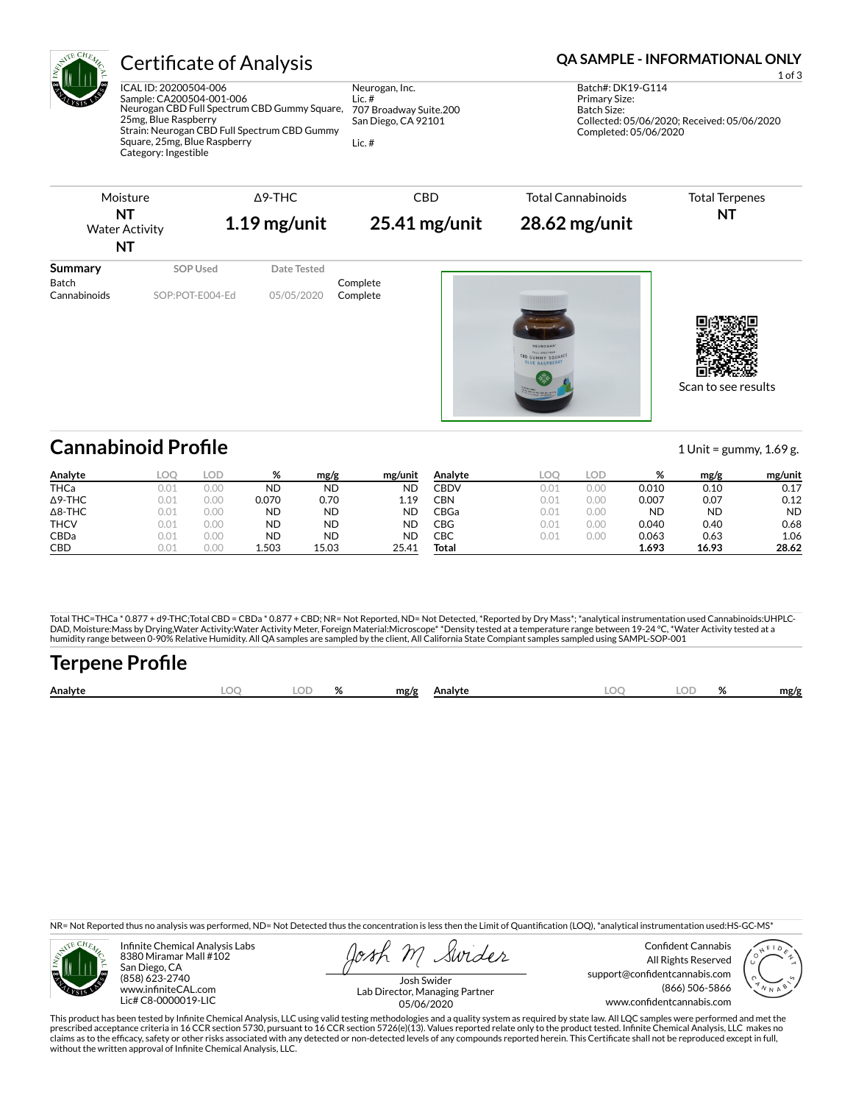

ICAL ID: 20200504-006 Sample: CA200504-001-006 Neurogan CBD Full Spectrum CBD Gummy Square, 25mg, Blue Raspberry Strain: Neurogan CBD Full Spectrum CBD Gummy Square, 25mg, Blue Raspberry Category: Ingestible

Neurogan, Inc. Lic. # 707 Broadway Suite.200 San Diego, CA 92101 Lic. #

### Certificate of Analysis **Certificate of Analysis QA SAMPLE - INFORMATIONAL ONLY**

1 of 3 Batch#: DK19-G114 Primary Size: Batch Size: Collected: 05/06/2020; Received: 05/06/2020 Completed: 05/06/2020

Scan to see results

| Moisture<br><b>NT</b><br><b>Water Activity</b><br>NT |                 | $\Delta$ 9-THC<br>$1.19$ mg/unit | <b>CBD</b><br>$25.41$ mg/unit | <b>Total Cannabinoids</b><br>$28.62$ mg/unit | <b>Total Terpenes</b><br>NT |  |
|------------------------------------------------------|-----------------|----------------------------------|-------------------------------|----------------------------------------------|-----------------------------|--|
| Summary                                              | SOP Used        | Date Tested                      |                               |                                              |                             |  |
| Batch<br>Cannabinoids                                | SOP:POT-E004-Ed | 05/05/2020                       | Complete<br>Complete          |                                              |                             |  |
|                                                      |                 |                                  |                               | NEUROGAN                                     |                             |  |

**Cannabinoid Profile** 1 Unit = gummy, 1.69 g.

**Analyte LOQ LOD % mg/g mg/unit** THCa 0.01 0.00 ND ND ND Δ9-THC 0.01 0.00 0.070 0.70 1.19 Δ8-THC 0.01 0.00 ND ND ND THCV 0.01 0.00 ND ND ND CBDa 0.01 0.00 ND ND ND **CBD** 0.01 0.00 **1.503 15.03 25.41 Analyte LOQ LOD % mg/g mg/unit** CBDV 0.01 0.00 0.010 0.10 0.17 CBN 0.01 0.00 0.007 0.07 0.12 CBGa 0.01 0.00 ND ND ND CBG 0.01 0.00 0.040 0.40 0.68 CBC 0.01 0.00 0.063 0.63 1.06 **Total 1.693 16.93 28.62**

Total THC=THCa \* 0.877 + d9-THC;Total CBD = CBDa \* 0.877 + CBD; NR= Not Reported, ND= Not Detected, \*Reported by Dry Mass\*; \*analytical instrumentation used Cannabinoids:UHPLC-DAD, Moisture:Mass by Drying,Water Activity:Water Activity Meter, Foreign Material:Microscope\* \*Density tested at a temperature range between 19-24 °C, \*Water Activity tested at a<br>humidity range between 0-90% Relative Humi

# **Terpene Profile**

| Analyte | nr | $\sim$ | ົ | mg/g | Analyte | ገር | o/<br>,,, | mg/f |
|---------|----|--------|---|------|---------|----|-----------|------|
|         |    |        |   |      |         |    |           |      |

NR= Not Reported thus no analysis was performed, ND= Not Detected thus the concentration is less then the Limit of Quantification (LOQ), \*analytical instrumentation used:HS-GC-MS\*



Infinite Chemical Analysis Labs 8380 Miramar Mall #102 San Diego, CA (858) 623-2740 www.infiniteCAL.com Lic# C8-0000019-LIC

Swider

Confident Cannabis All Rights Reserved support@confidentcannabis.com (866) 506-5866 www.confidentcannabis.com



Josh Swider Lab Director, Managing Partner 05/06/2020

This product has been tested by Infinite Chemical Analysis, LLC using valid testing methodologies and a quality system as required by state law. All LQC samples were performed and met the prescribed acceptance criteria in 16 CCR section 5730, pursuant to 16 CCR section 5726(e)(13). Values reported relate only to the product tested. Infinite Chemical Analysis, LLC makes no<br>claims as to the efficacy, safety o without the written approval of Infinite Chemical Analysis, LLC.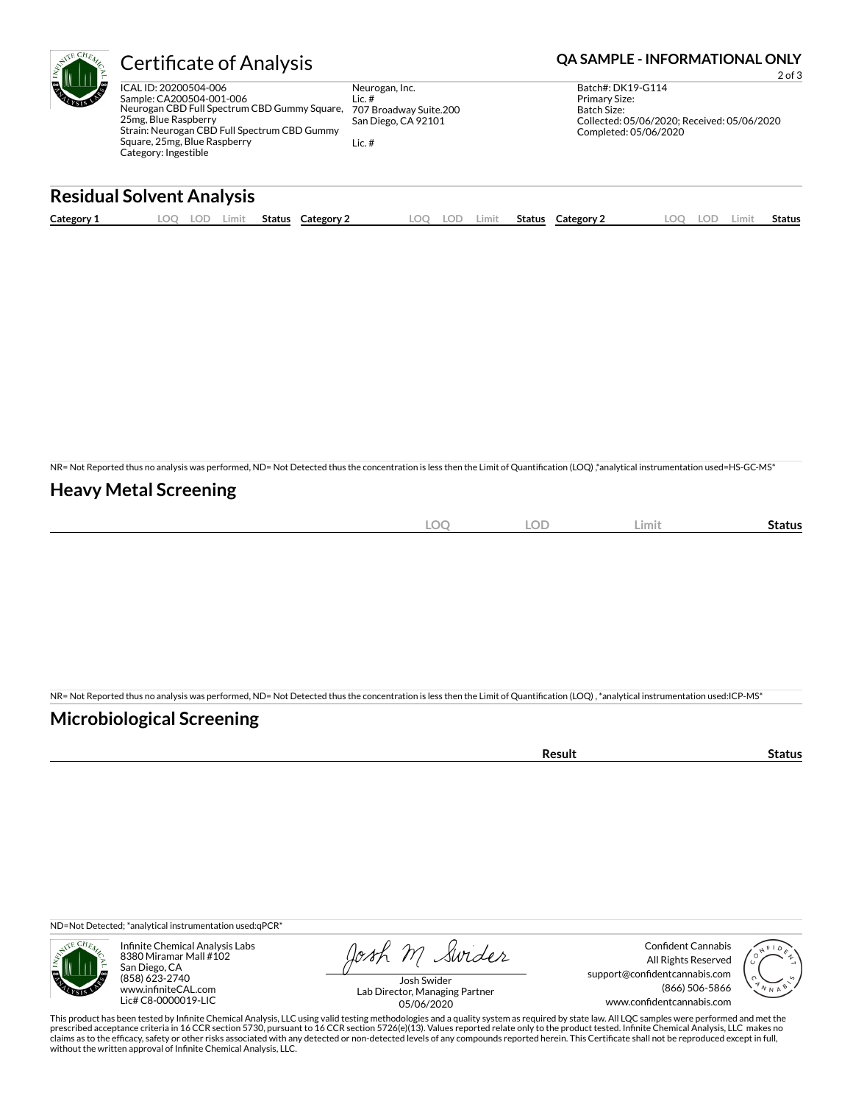| EUL | <b>Certificate of Analysis</b>                                                                                                                                                                                                    |                                                                                      | <b>QA SAMPLE - INFORMATIONAL ONLY</b><br>$2$ of $3$                                                                              |
|-----|-----------------------------------------------------------------------------------------------------------------------------------------------------------------------------------------------------------------------------------|--------------------------------------------------------------------------------------|----------------------------------------------------------------------------------------------------------------------------------|
|     | ICAL ID: 20200504-006<br>Sample: CA200504-001-006<br>Neurogan CBD Full Spectrum CBD Gummy Square,<br>25mg, Blue Raspberry<br>Strain: Neurogan CBD Full Spectrum CBD Gummy<br>Square, 25mg, Blue Raspberry<br>Category: Ingestible | Neurogan, Inc.<br>Lic. $#$<br>707 Broadway Suite.200<br>San Diego, CA 92101<br>Lic.# | Batch#: DK19-G114<br><b>Primary Size:</b><br>Batch Size:<br>Collected: 05/06/2020; Received: 05/06/2020<br>Completed: 05/06/2020 |

### **Residual Solvent Analysis**

| Category 1 | .OC | ے ال | Limit | Status | Category | LOO | LOD | Limit | Status | Category 2 | .OC | LOD | ∟imi‡ | Status |
|------------|-----|------|-------|--------|----------|-----|-----|-------|--------|------------|-----|-----|-------|--------|
|            |     |      |       |        |          |     |     |       |        |            |     |     |       |        |

NR= Not Reported thus no analysis was performed, ND= Not Detected thus the concentration is less then the Limit of Quantification (LOQ),\*analytical instrumentation used=HS-GC-MS\*

#### **Heavy Metal Screening**

| $\bigcap$<br>$-$<br>$\sim$ | <b>LOD</b> | Limit | Status |
|----------------------------|------------|-------|--------|
|                            |            |       |        |

NR= Not Reported thus no analysis was performed, ND= Not Detected thus the concentration is less then the Limit of Quantification (LOQ) , \*analytical instrumentation used:ICP-MS\*

#### **Microbiological Screening**

| .<br> | . |
|-------|---|
|       |   |

ND=Not Detected; \*analytical instrumentation used:qPCR\*



Infinite Chemical Analysis Labs 8380 Miramar Mall #102 San Diego, CA (858) 623-2740 www.infiniteCAL.com Lic# C8-0000019-LIC

Josh M Swider

Confident Cannabis All Rights Reserved support@confidentcannabis.com (866) 506-5866 www.confidentcannabis.com



Josh Swider Lab Director, Managing Partner 05/06/2020

This product has been tested by Infinite Chemical Analysis, LLC using valid testing methodologies and a quality system as required by state law. All LQC samples were performed and met the<br>prescribed acceptance criteria in without the written approval of Infinite Chemical Analysis, LLC.